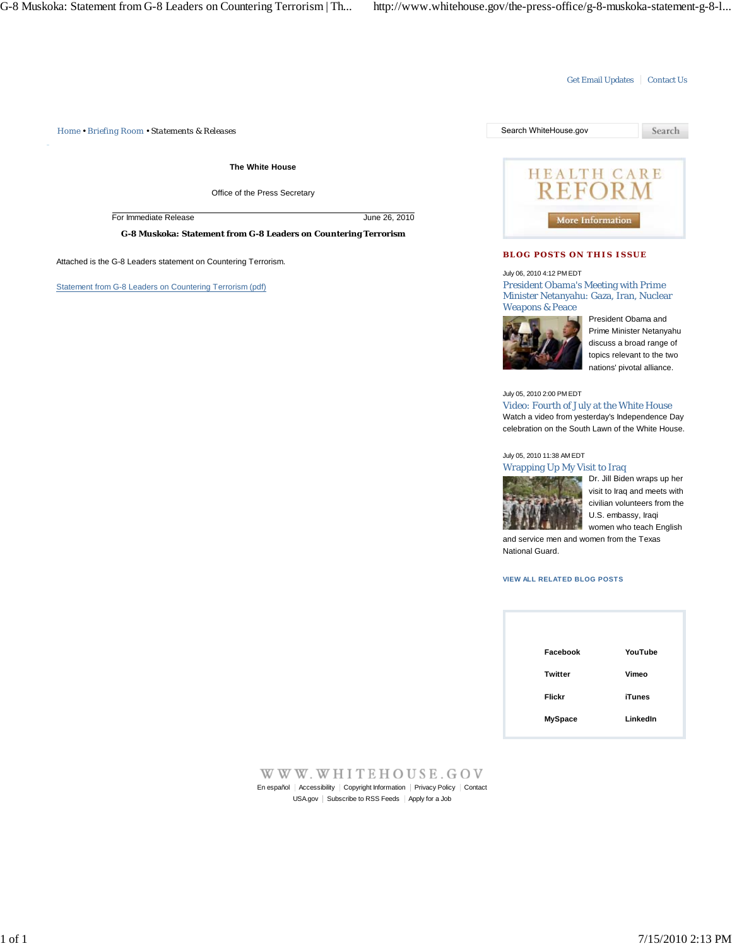## Get Email Updates | Contact Us

*Home • Briefing Room • Statements & Releases* Search WhiteHouse.gov

**The White House**

Office of the Press Secretary

For Immediate Release June 26, 2010

**G-8 Muskoka: Statement from G-8 Leaders on Countering Terrorism**

Attached is the G-8 Leaders statement on Countering Terrorism.

Statement from G-8 Leaders on Countering Terrorism (pdf)



### **BLOG POSTS ON THIS ISSUE**

July 06, 2010 4:12 PM EDT

President Obama's Meeting with Prime Minister Netanyahu: Gaza, Iran, Nuclear Weapons & Peace



President Obama and Prime Minister Netanyahu discuss a broad range of topics relevant to the two nations' pivotal alliance.

#### July 05, 2010 2:00 PM EDT

Video: Fourth of July at the White House Watch a video from yesterday's Independence Day celebration on the South Lawn of the White House.

### July 05, 2010 11:38 AM EDT





Dr. Jill Biden wraps up her visit to Iraq and meets with civilian volunteers from the U.S. embassy, Iraqi women who teach English

and service men and women from the Texas National Guard.

# **VIEW ALL RELATED BLOG POSTS**

| YouTube       |
|---------------|
| Vimeo         |
| <b>iTunes</b> |
| LinkedIn      |
|               |

#### WWW.WHITEHOUSE.GOV En español | Accessibility | Copyright Information | Privacy Policy | Contact USA.gov | Subscribe to RSS Feeds | Apply for a Job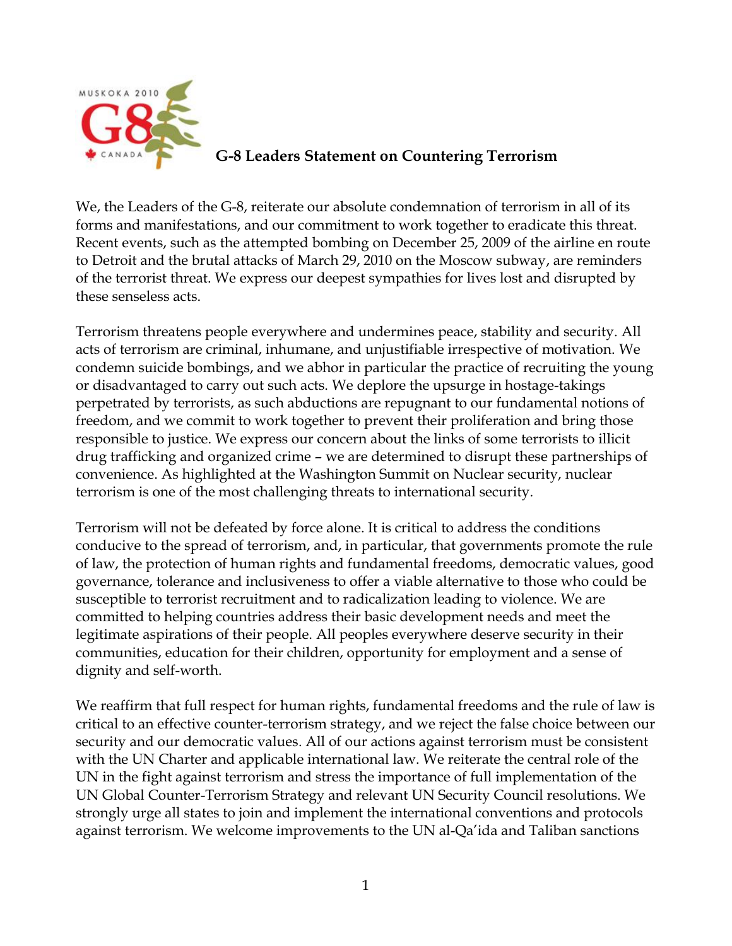

# **G-8 Leaders Statement on Countering Terrorism**

We, the Leaders of the G-8, reiterate our absolute condemnation of terrorism in all of its forms and manifestations, and our commitment to work together to eradicate this threat. Recent events, such as the attempted bombing on December 25, 2009 of the airline en route to Detroit and the brutal attacks of March 29, 2010 on the Moscow subway, are reminders of the terrorist threat. We express our deepest sympathies for lives lost and disrupted by these senseless acts.

Terrorism threatens people everywhere and undermines peace, stability and security. All acts of terrorism are criminal, inhumane, and unjustifiable irrespective of motivation. We condemn suicide bombings, and we abhor in particular the practice of recruiting the young or disadvantaged to carry out such acts. We deplore the upsurge in hostage-takings perpetrated by terrorists, as such abductions are repugnant to our fundamental notions of freedom, and we commit to work together to prevent their proliferation and bring those responsible to justice. We express our concern about the links of some terrorists to illicit drug trafficking and organized crime – we are determined to disrupt these partnerships of convenience. As highlighted at the Washington Summit on Nuclear security, nuclear terrorism is one of the most challenging threats to international security.

Terrorism will not be defeated by force alone. It is critical to address the conditions conducive to the spread of terrorism, and, in particular, that governments promote the rule of law, the protection of human rights and fundamental freedoms, democratic values, good governance, tolerance and inclusiveness to offer a viable alternative to those who could be susceptible to terrorist recruitment and to radicalization leading to violence. We are committed to helping countries address their basic development needs and meet the legitimate aspirations of their people. All peoples everywhere deserve security in their communities, education for their children, opportunity for employment and a sense of dignity and self-worth.

We reaffirm that full respect for human rights, fundamental freedoms and the rule of law is critical to an effective counter-terrorism strategy, and we reject the false choice between our security and our democratic values. All of our actions against terrorism must be consistent with the UN Charter and applicable international law. We reiterate the central role of the UN in the fight against terrorism and stress the importance of full implementation of the UN Global Counter-Terrorism Strategy and relevant UN Security Council resolutions. We strongly urge all states to join and implement the international conventions and protocols against terrorism. We welcome improvements to the UN al-Qa'ida and Taliban sanctions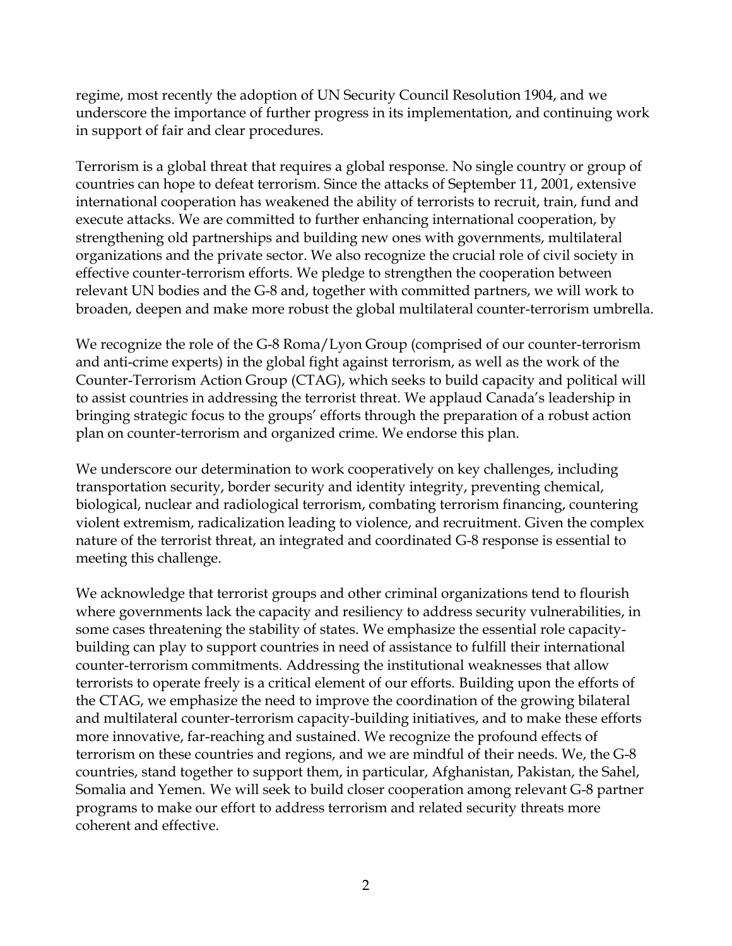regime, most recently the adoption of UN Security Council Resolution 1904, and we underscore the importance of further progress in its implementation, and continuing work in support of fair and clear procedures.

Terrorism is a global threat that requires a global response. No single country or group of countries can hope to defeat terrorism. Since the attacks of September 11, 2001, extensive international cooperation has weakened the ability of terrorists to recruit, train, fund and execute attacks. We are committed to further enhancing international cooperation, by strengthening old partnerships and building new ones with governments, multilateral organizations and the private sector. We also recognize the crucial role of civil society in effective counter-terrorism efforts. We pledge to strengthen the cooperation between relevant UN bodies and the G-8 and, together with committed partners, we will work to broaden, deepen and make more robust the global multilateral counter-terrorism umbrella.

We recognize the role of the G-8 Roma/Lyon Group (comprised of our counter-terrorism and anti-crime experts) in the global fight against terrorism, as well as the work of the Counter-Terrorism Action Group (CTAG), which seeks to build capacity and political will to assist countries in addressing the terrorist threat. We applaud Canada's leadership in bringing strategic focus to the groups' efforts through the preparation of a robust action plan on counter-terrorism and organized crime. We endorse this plan.

We underscore our determination to work cooperatively on key challenges, including transportation security, border security and identity integrity, preventing chemical, biological, nuclear and radiological terrorism, combating terrorism financing, countering violent extremism, radicalization leading to violence, and recruitment. Given the complex nature of the terrorist threat, an integrated and coordinated G-8 response is essential to meeting this challenge.

We acknowledge that terrorist groups and other criminal organizations tend to flourish where governments lack the capacity and resiliency to address security vulnerabilities, in some cases threatening the stability of states. We emphasize the essential role capacitybuilding can play to support countries in need of assistance to fulfill their international counter-terrorism commitments. Addressing the institutional weaknesses that allow terrorists to operate freely is a critical element of our efforts. Building upon the efforts of the CTAG, we emphasize the need to improve the coordination of the growing bilateral and multilateral counter-terrorism capacity-building initiatives, and to make these efforts more innovative, far-reaching and sustained. We recognize the profound effects of terrorism on these countries and regions, and we are mindful of their needs. We, the G-8 countries, stand together to support them, in particular, Afghanistan, Pakistan, the Sahel, Somalia and Yemen. We will seek to build closer cooperation among relevant G-8 partner programs to make our effort to address terrorism and related security threats more coherent and effective.